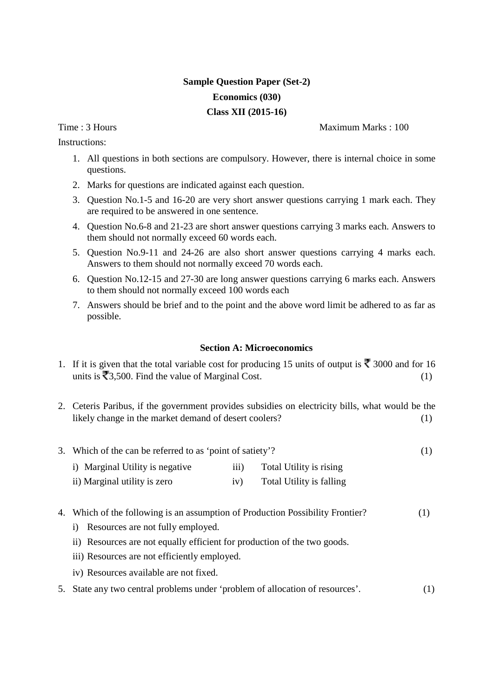## **Sample Question Paper (Set-2) Economics (030) Class XII (2015-16)**

Instructions:

Time : 3 Hours and the set of the set of the Maximum Marks : 100

- 1. All questions in both sections are compulsory. However, there is internal choice in some questions.
- 2. Marks for questions are indicated against each question.
- 3. Question No.1-5 and 16-20 are very short answer questions carrying 1 mark each. They are required to be answered in one sentence.
- 4. Question No.6-8 and 21-23 are short answer questions carrying 3 marks each. Answers to them should not normally exceed 60 words each.
- 5. Question No.9-11 and 24-26 are also short answer questions carrying 4 marks each. Answers to them should not normally exceed 70 words each.
- 6. Question No.12-15 and 27-30 are long answer questions carrying 6 marks each. Answers to them should not normally exceed 100 words each
- 7. Answers should be brief and to the point and the above word limit be adhered to as far as possible.

## **Section A: Microeconomics**

- 1. If it is given that the total variable cost for producing 15 units of output is  $\bar{\mathbf{\tau}}$  3000 and for 16 units is  $\overline{53,500}$ . Find the value of Marginal Cost. (1)
- 2. Ceteris Paribus, if the government provides subsidies on electricity bills, what would be the likely change in the market demand of desert coolers? (1)

|  | 3. Which of the can be referred to as 'point of satiety'? |  |  |  |
|--|-----------------------------------------------------------|--|--|--|
|--|-----------------------------------------------------------|--|--|--|

- i) Marginal Utility is negative iii) Total Utility is rising
- ii) Marginal utility is zero iv) Total Utility is falling
- 4. Which of the following is an assumption of Production Possibility Frontier? (1)
	- i) Resources are not fully employed.
	- ii) Resources are not equally efficient for production of the two goods.
	- iii) Resources are not efficiently employed.
	- iv) Resources available are not fixed.
- 5. State any two central problems under 'problem of allocation of resources'. (1)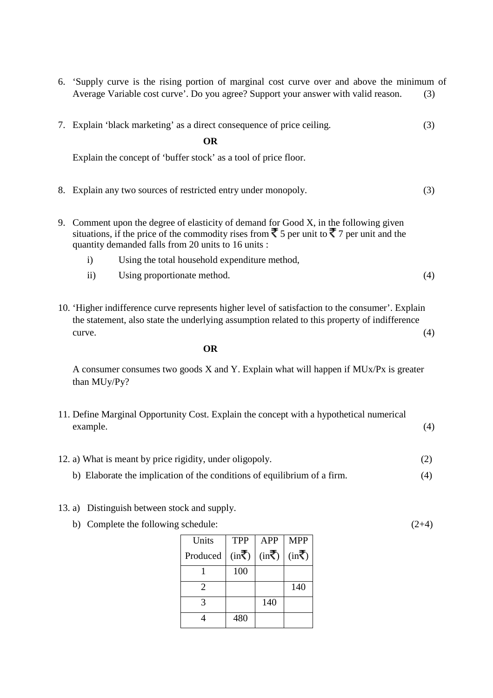6. 'Supply curve is the rising portion of marginal cost curve over and above the minimum of Average Variable cost curve'. Do you agree? Support your answer with valid reason. (3)

|    |                                                                                                                                                                                                                                                            | 7. Explain 'black marketing' as a direct consequence of price ceiling. | (3) |
|----|------------------------------------------------------------------------------------------------------------------------------------------------------------------------------------------------------------------------------------------------------------|------------------------------------------------------------------------|-----|
|    |                                                                                                                                                                                                                                                            | OR                                                                     |     |
|    |                                                                                                                                                                                                                                                            | Explain the concept of 'buffer stock' as a tool of price floor.        |     |
| 8. |                                                                                                                                                                                                                                                            | Explain any two sources of restricted entry under monopoly.            | (3) |
| 9. | Comment upon the degree of elasticity of demand for Good X, in the following given<br>situations, if the price of the commodity rises from $\bar{\xi}$ 5 per unit to $\bar{\xi}$ 7 per unit and the<br>quantity demanded falls from 20 units to 16 units : |                                                                        |     |
|    | $\mathbf{i}$                                                                                                                                                                                                                                               | Using the total household expenditure method,                          |     |
|    | $\mathbf{ii}$                                                                                                                                                                                                                                              | Using proportionate method.                                            | (4) |
|    |                                                                                                                                                                                                                                                            |                                                                        |     |

10. 'Higher indifference curve represents higher level of satisfaction to the consumer'. Explain the statement, also state the underlying assumption related to this property of indifference  $curve.$  (4)

**OR** 

A consumer consumes two goods X and Y. Explain what will happen if MUx/Px is greater than MUy/Py?

- 11. Define Marginal Opportunity Cost. Explain the concept with a hypothetical numerical example. (4)
- 12. a) What is meant by price rigidity, under oligopoly. (2)
	- b) Elaborate the implication of the conditions of equilibrium of a firm. (4)
- 13. a) Distinguish between stock and supply.
	- b) Complete the following schedule:  $(2+4)$

| Units                 | <b>TPP</b>                    | <b>APP</b>                    | <b>MPP</b>                    |
|-----------------------|-------------------------------|-------------------------------|-------------------------------|
| Produced              | $(in\overline{\overline{5}})$ | $(in\overline{\overline{5}})$ | $(in\overline{\overline{5}})$ |
|                       | 100                           |                               |                               |
| $\mathcal{D}_{\cdot}$ |                               |                               | 140                           |
| $\mathbf 3$           |                               | 140                           |                               |
|                       | 480                           |                               |                               |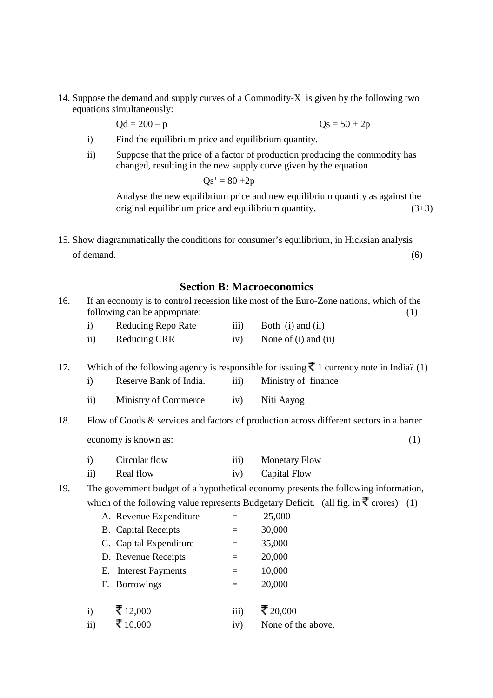14. Suppose the demand and supply curves of a Commodity-X is given by the following two equations simultaneously:

 $Qd = 200 - p$   $Qs = 50 + 2p$ 

- i) Find the equilibrium price and equilibrium quantity.
- ii) Suppose that the price of a factor of production producing the commodity has changed, resulting in the new supply curve given by the equation

 $Qs' = 80 + 2p$ 

Analyse the new equilibrium price and new equilibrium quantity as against the original equilibrium price and equilibrium quantity.  $(3+3)$ 

15. Show diagrammatically the conditions for consumer's equilibrium, in Hicksian analysis of demand. (6)

## **Section B: Macroeconomics**

| 16. |                                                                                     | following can be appropriate: |      | If an economy is to control recession like most of the Euro-Zone nations, which of the<br>(1)               |  |
|-----|-------------------------------------------------------------------------------------|-------------------------------|------|-------------------------------------------------------------------------------------------------------------|--|
|     | $\mathbf{i}$                                                                        | <b>Reducing Repo Rate</b>     | iii) | Both (i) and (ii)                                                                                           |  |
|     | $\mathbf{ii}$                                                                       | <b>Reducing CRR</b>           | iv)  | None of (i) and (ii)                                                                                        |  |
| 17. |                                                                                     |                               |      | Which of the following agency is responsible for issuing $\bar{\mathbf{\xi}}$ 1 currency note in India? (1) |  |
|     | $\mathbf{i}$                                                                        | Reserve Bank of India.        | iii) | Ministry of finance                                                                                         |  |
|     | $\overline{ii}$ )                                                                   | Ministry of Commerce          | iv)  | Niti Aayog                                                                                                  |  |
| 18. |                                                                                     |                               |      | Flow of Goods & services and factors of production across different sectors in a barter                     |  |
|     |                                                                                     | economy is known as:          |      | (1)                                                                                                         |  |
|     | $\mathbf{i}$                                                                        | Circular flow                 | iii) | <b>Monetary Flow</b>                                                                                        |  |
|     | $\rm ii)$                                                                           | Real flow                     | iv)  | Capital Flow                                                                                                |  |
| 19. | The government budget of a hypothetical economy presents the following information, |                               |      |                                                                                                             |  |
|     |                                                                                     |                               |      | which of the following value represents Budgetary Deficit. (all fig. in $\bar{\mathbf{\zeta}}$ crores) (1)  |  |
|     |                                                                                     | A. Revenue Expenditure        | $=$  | 25,000                                                                                                      |  |
|     |                                                                                     | <b>B.</b> Capital Receipts    | $=$  | 30,000                                                                                                      |  |
|     |                                                                                     | C. Capital Expenditure        | $=$  | 35,000                                                                                                      |  |
|     |                                                                                     | D. Revenue Receipts           | $=$  | 20,000                                                                                                      |  |
|     |                                                                                     | E. Interest Payments          | $=$  | 10,000                                                                                                      |  |
|     |                                                                                     | F. Borrowings                 | $=$  | 20,000                                                                                                      |  |
|     | $\mathbf{i}$                                                                        | ₹ 12,000                      | iii) | ₹ 20,000                                                                                                    |  |
|     | $\rm ii)$                                                                           | ₹ 10,000                      | iv)  | None of the above.                                                                                          |  |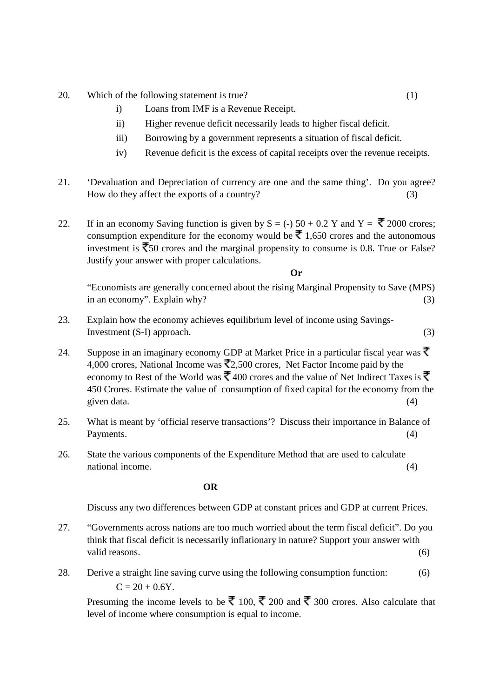- 20. Which of the following statement is true? (1)
	- i) Loans from IMF is a Revenue Receipt.
	- ii) Higher revenue deficit necessarily leads to higher fiscal deficit.
	- iii) Borrowing by a government represents a situation of fiscal deficit.
	- iv) Revenue deficit is the excess of capital receipts over the revenue receipts.
- 21. 'Devaluation and Depreciation of currency are one and the same thing'. Do you agree? How do they affect the exports of a country? (3)

22. If in an economy Saving function is given by  $S = (-) 50 + 0.2 Y$  and  $Y = \overline{\overline{X}} 2000$  crores; consumption expenditure for the economy would be  $\bar{\bar{\xi}}$  1,650 crores and the autonomous investment is  $\bar{z}$  50 crores and the marginal propensity to consume is 0.8. True or False? Justify your answer with proper calculations.

 **Or** 

"Economists are generally concerned about the rising Marginal Propensity to Save (MPS) in an economy". Explain why?  $(3)$ 

- 23. Explain how the economy achieves equilibrium level of income using Savings- $Investment (S-I) approach.$  (3)
- 24. Suppose in an imaginary economy GDP at Market Price in a particular fiscal year was  $\bar{\mathbf{\xi}}$ 4,000 crores, National Income was  $\overline{2}2,500$  crores, Net Factor Income paid by the economy to Rest of the World was  $\bar{\xi}$  400 crores and the value of Net Indirect Taxes is  $\bar{\xi}$ 450 Crores. Estimate the value of consumption of fixed capital for the economy from the given data. (4)
- 25. What is meant by 'official reserve transactions'? Discuss their importance in Balance of Payments. (4)
- 26. State the various components of the Expenditure Method that are used to calculate national income. (4)

**OR** 

Discuss any two differences between GDP at constant prices and GDP at current Prices.

- 27. "Governments across nations are too much worried about the term fiscal deficit". Do you think that fiscal deficit is necessarily inflationary in nature? Support your answer with valid reasons. (6) (6)
- 28. Derive a straight line saving curve using the following consumption function: (6)  $C = 20 + 0.6Y$ .

Presuming the income levels to be  $\bar{\mathfrak{F}}$  100,  $\bar{\mathfrak{F}}$  200 and  $\bar{\mathfrak{F}}$  300 crores. Also calculate that level of income where consumption is equal to income.